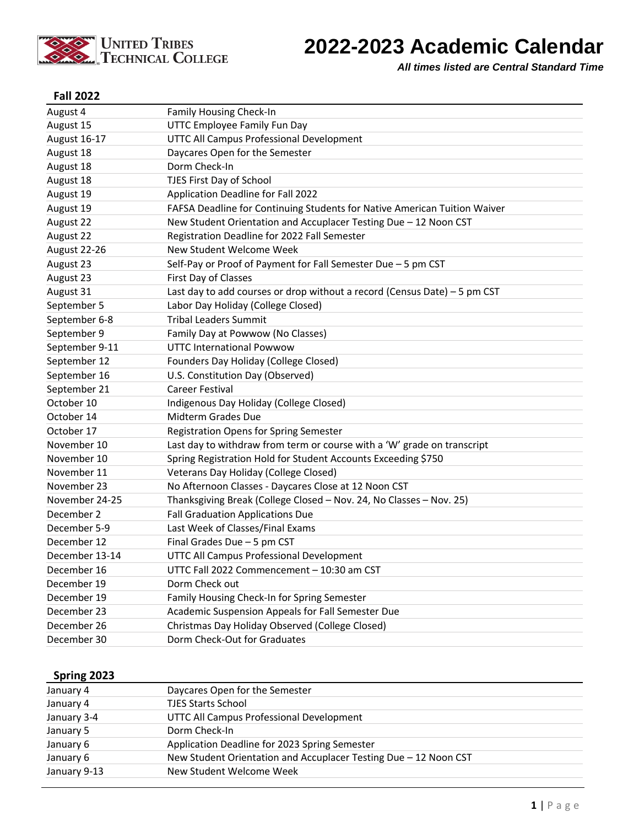

# **2022-2023 Academic Calendar**

*All times listed are Central Standard Time*

#### **Fall 2022**

| August 4       | <b>Family Housing Check-In</b>                                            |
|----------------|---------------------------------------------------------------------------|
| August 15      | UTTC Employee Family Fun Day                                              |
| August 16-17   | UTTC All Campus Professional Development                                  |
| August 18      | Daycares Open for the Semester                                            |
| August 18      | Dorm Check-In                                                             |
| August 18      | TJES First Day of School                                                  |
| August 19      | Application Deadline for Fall 2022                                        |
| August 19      | FAFSA Deadline for Continuing Students for Native American Tuition Waiver |
| August 22      | New Student Orientation and Accuplacer Testing Due - 12 Noon CST          |
| August 22      | Registration Deadline for 2022 Fall Semester                              |
| August 22-26   | New Student Welcome Week                                                  |
| August 23      | Self-Pay or Proof of Payment for Fall Semester Due - 5 pm CST             |
| August 23      | First Day of Classes                                                      |
| August 31      | Last day to add courses or drop without a record (Census Date) - 5 pm CST |
| September 5    | Labor Day Holiday (College Closed)                                        |
| September 6-8  | <b>Tribal Leaders Summit</b>                                              |
| September 9    | Family Day at Powwow (No Classes)                                         |
| September 9-11 | <b>UTTC International Powwow</b>                                          |
| September 12   | Founders Day Holiday (College Closed)                                     |
| September 16   | U.S. Constitution Day (Observed)                                          |
| September 21   | Career Festival                                                           |
| October 10     | Indigenous Day Holiday (College Closed)                                   |
| October 14     | Midterm Grades Due                                                        |
| October 17     | Registration Opens for Spring Semester                                    |
| November 10    | Last day to withdraw from term or course with a 'W' grade on transcript   |
| November 10    | Spring Registration Hold for Student Accounts Exceeding \$750             |
| November 11    | Veterans Day Holiday (College Closed)                                     |
| November 23    | No Afternoon Classes - Daycares Close at 12 Noon CST                      |
| November 24-25 | Thanksgiving Break (College Closed - Nov. 24, No Classes - Nov. 25)       |
| December 2     | <b>Fall Graduation Applications Due</b>                                   |
| December 5-9   | Last Week of Classes/Final Exams                                          |
| December 12    | Final Grades Due - 5 pm CST                                               |
| December 13-14 | UTTC All Campus Professional Development                                  |
| December 16    | UTTC Fall 2022 Commencement - 10:30 am CST                                |
| December 19    | Dorm Check out                                                            |
| December 19    | Family Housing Check-In for Spring Semester                               |
| December 23    | Academic Suspension Appeals for Fall Semester Due                         |
| December 26    | Christmas Day Holiday Observed (College Closed)                           |
| December 30    | Dorm Check-Out for Graduates                                              |

### **Spring 2023**

| January 4    | Daycares Open for the Semester                                   |  |
|--------------|------------------------------------------------------------------|--|
| January 4    | <b>TJES Starts School</b>                                        |  |
| January 3-4  | UTTC All Campus Professional Development                         |  |
| January 5    | Dorm Check-In                                                    |  |
| January 6    | Application Deadline for 2023 Spring Semester                    |  |
| January 6    | New Student Orientation and Accuplacer Testing Due - 12 Noon CST |  |
| January 9-13 | New Student Welcome Week                                         |  |